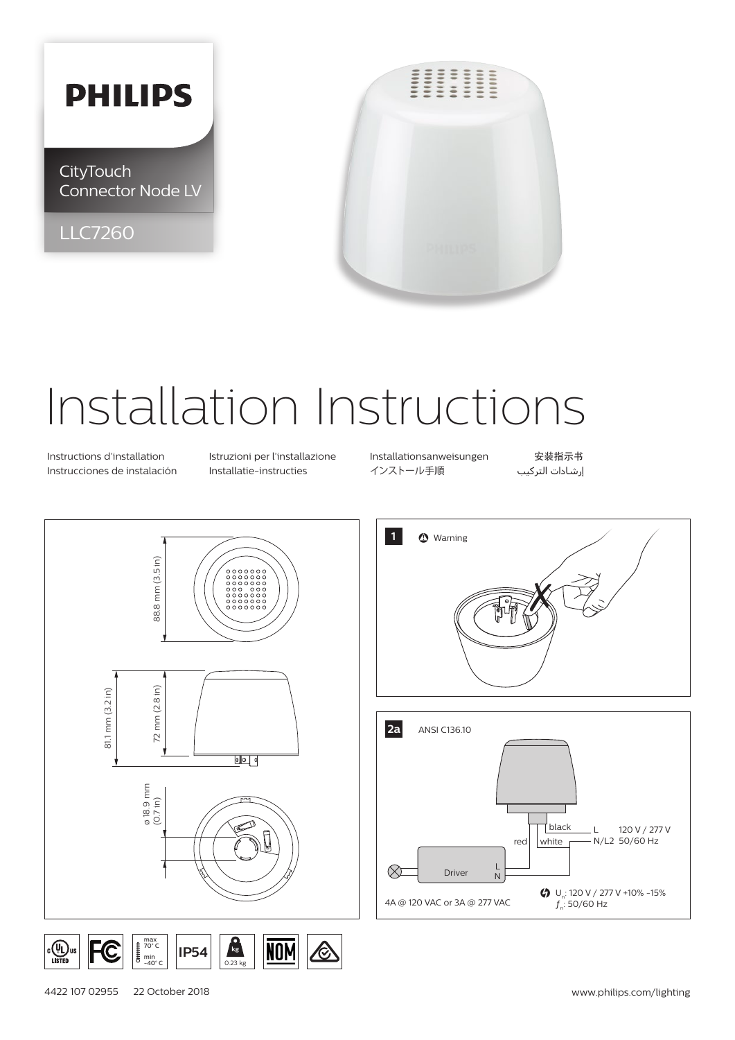## **PHILIPS**

**CityTouch** Connector Node LV

LLC7260



## Installation Instructions

Instrucciones de instalación Installatie-instructies インストール手順 التركيب إرشادات

Instructions d'installation Istruzioni per l'installazione Installationsanweisungen 安装指示书